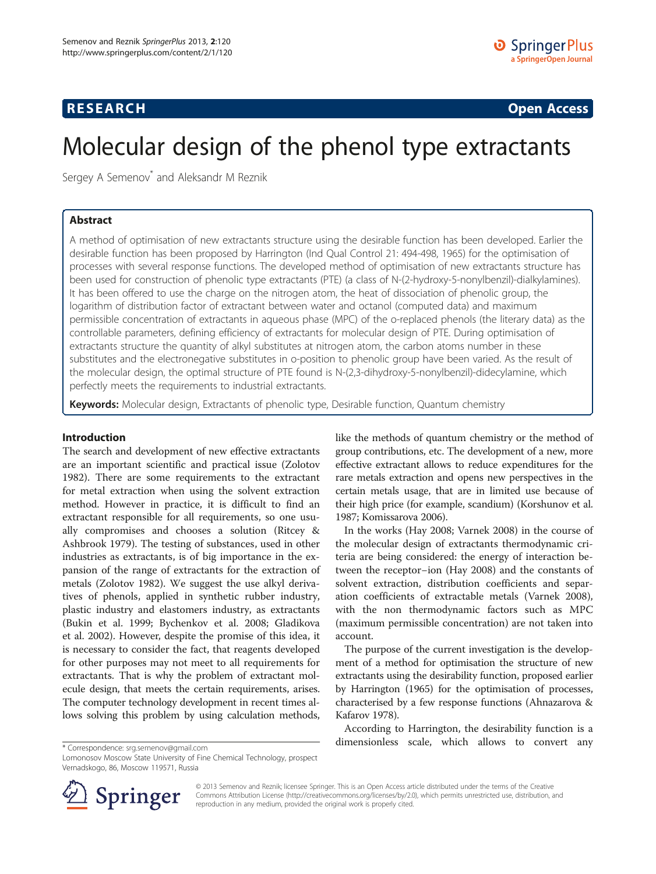# **RESEARCH RESEARCH CONSUMING ACCESS**

# Molecular design of the phenol type extractants

Sergey A Semenov<sup>\*</sup> and Aleksandr M Reznik

# Abstract

A method of optimisation of new extractants structure using the desirable function has been developed. Earlier the desirable function has been proposed by Harrington (Ind Qual Control 21: 494-498, 1965) for the optimisation of processes with several response functions. The developed method of optimisation of new extractants structure has been used for construction of phenolic type extractants (PTE) (a class of N-(2-hydroxy-5-nonylbenzil)-dialkylamines). It has been offered to use the charge on the nitrogen atom, the heat of dissociation of phenolic group, the logarithm of distribution factor of extractant between water and octanol (computed data) and maximum permissible concentration of extractants in aqueous phase (MPC) of the o-replaced phenols (the literary data) as the controllable parameters, defining efficiency of extractants for molecular design of PTE. During optimisation of extractants structure the quantity of alkyl substitutes at nitrogen atom, the carbon atoms number in these substitutes and the electronegative substitutes in o-position to phenolic group have been varied. As the result of the molecular design, the optimal structure of PTE found is N-(2,3-dihydroxy-5-nonylbenzil)-didecylamine, which perfectly meets the requirements to industrial extractants.

Keywords: Molecular design, Extractants of phenolic type, Desirable function, Quantum chemistry

#### Introduction

The search and development of new effective extractants are an important scientific and practical issue (Zolotov [1982](#page-4-0)). There are some requirements to the extractant for metal extraction when using the solvent extraction method. However in practice, it is difficult to find an extractant responsible for all requirements, so one usually compromises and chooses a solution (Ritcey & Ashbrook [1979](#page-4-0)). The testing of substances, used in other industries as extractants, is of big importance in the expansion of the range of extractants for the extraction of metals (Zolotov [1982](#page-4-0)). We suggest the use alkyl derivatives of phenols, applied in synthetic rubber industry, plastic industry and elastomers industry, as extractants (Bukin et al. [1999;](#page-3-0) Bychenkov et al. [2008;](#page-3-0) Gladikova et al. [2002](#page-4-0)). However, despite the promise of this idea, it is necessary to consider the fact, that reagents developed for other purposes may not meet to all requirements for extractants. That is why the problem of extractant molecule design, that meets the certain requirements, arises. The computer technology development in recent times allows solving this problem by using calculation methods,

like the methods of quantum chemistry or the method of group contributions, etc. The development of a new, more effective extractant allows to reduce expenditures for the rare metals extraction and opens new perspectives in the certain metals usage, that are in limited use because of their high price (for example, scandium) (Korshunov et al. [1987](#page-4-0); Komissarova [2006](#page-4-0)).

In the works (Hay [2008](#page-4-0); Varnek [2008](#page-4-0)) in the course of the molecular design of extractants thermodynamic criteria are being considered: the energy of interaction between the receptor−ion (Hay [2008](#page-4-0)) and the constants of solvent extraction, distribution coefficients and separation coefficients of extractable metals (Varnek [2008](#page-4-0)), with the non thermodynamic factors such as MPC (maximum permissible concentration) are not taken into account.

The purpose of the current investigation is the development of a method for optimisation the structure of new extractants using the desirability function, proposed earlier by Harrington [\(1965](#page-4-0)) for the optimisation of processes, characterised by a few response functions (Ahnazarova & Kafarov [1978](#page-3-0)).

According to Harrington, the desirability function is a dimensionless scale, which allows to convert any \* Correspondence: [srg.semenov@gmail.com](mailto:srg.semenov@gmail.com)

Lomonosov Moscow State University of Fine Chemical Technology, prospect Vernadskogo, 86, Moscow 119571, Russia



© 2013 Semenov and Reznik; licensee Springer. This is an Open Access article distributed under the terms of the Creative Commons Attribution License (<http://creativecommons.org/licenses/by/2.0>), which permits unrestricted use, distribution, and reproduction in any medium, provided the original work is properly cited.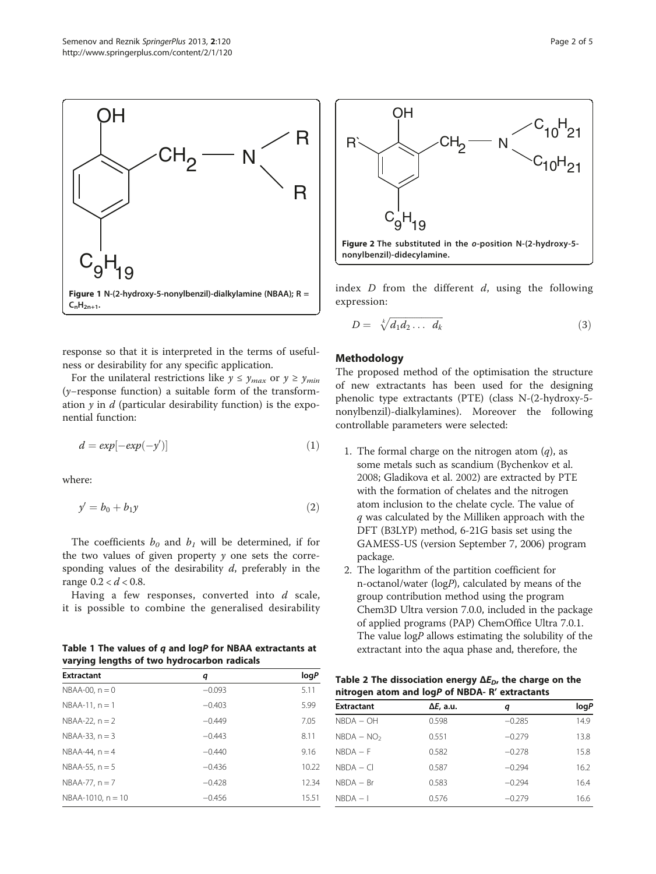<span id="page-1-0"></span>

response so that it is interpreted in the terms of usefulness or desirability for any specific application.

For the unilateral restrictions like  $y \le y_{max}$  or  $y \ge y_{min}$ (y−response function) a suitable form of the transformation  $\gamma$  in d (particular desirability function) is the exponential function:

$$
d = \exp[-\exp(-y')] \tag{1}
$$

where:

$$
y' = b_0 + b_1 y \tag{2}
$$

The coefficients  $b_0$  and  $b_1$  will be determined, if for the two values of given property  $y$  one sets the corresponding values of the desirability  $d$ , preferably in the range  $0.2 < d < 0.8$ .

Having a few responses, converted into  $d$  scale, it is possible to combine the generalised desirability

Table 1 The values of  $q$  and logP for NBAA extractants at varying lengths of two hydrocarbon radicals

| <b>Extractant</b>      | q        | logP  |
|------------------------|----------|-------|
| $NBAA-00$ , $n = 0$    | $-0.093$ | 5.11  |
| $NBAA-11, n = 1$       | $-0.403$ | 5.99  |
| $NBAA-22, n=2$         | $-0.449$ | 7.05  |
| $NBAA-33, n = 3$       | $-0.443$ | 8.11  |
| $NBAA-44$ , $n = 4$    | $-0.440$ | 9.16  |
| $NBAA-55$ , $n = 5$    | $-0.436$ | 10.22 |
| $NBAA-77, n = 7$       | $-0.428$ | 12.34 |
| $NBAA-1010$ , $n = 10$ | $-0.456$ | 15.51 |



index  $D$  from the different  $d$ , using the following expression:

$$
D = \sqrt[k]{d_1 d_2 \dots d_k} \tag{3}
$$

### Methodology

The proposed method of the optimisation the structure of new extractants has been used for the designing phenolic type extractants (PTE) (class N-(2-hydroxy-5 nonylbenzil)-dialkylamines). Moreover the following controllable parameters were selected:

- 1. The formal charge on the nitrogen atom  $(q)$ , as some metals such as scandium (Bychenkov et al. [2008;](#page-3-0) Gladikova et al. [2002](#page-4-0)) are extracted by PTE with the formation of chelates and the nitrogen atom inclusion to the chelate cycle. The value of q was calculated by the Milliken approach with the DFT (B3LYP) method, 6-21G basis set using the GAMESS-US (version September 7, 2006) program package.
- 2. The logarithm of the partition coefficient for n-octanol/water (logP), calculated by means of the group contribution method using the program Chem3D Ultra version 7.0.0, included in the package of applied programs (PAP) ChemOffice Ultra 7.0.1. The value  $logP$  allows estimating the solubility of the extractant into the aqua phase and, therefore, the

| Table 2 The dissociation energy $\Delta E_{D}$ , the charge on the |  |
|--------------------------------------------------------------------|--|
| nitrogen atom and logP of NBDA- R' extractants                     |  |

| <b>Extractant</b> | Δ <i>E</i> , a.u. | q        | logP |
|-------------------|-------------------|----------|------|
| $NBDA - OH$       | 0.598             | $-0.285$ | 14.9 |
| $NBDA - NO2$      | 0.551             | $-0.279$ | 13.8 |
| $NBDA - F$        | 0.582             | $-0.278$ | 15.8 |
| $NBDA - CI$       | 0.587             | $-0.294$ | 16.2 |
| $NBDA - Br$       | 0.583             | $-0.294$ | 16.4 |
| $NBDA - I$        | 0.576             | $-0.279$ | 16.6 |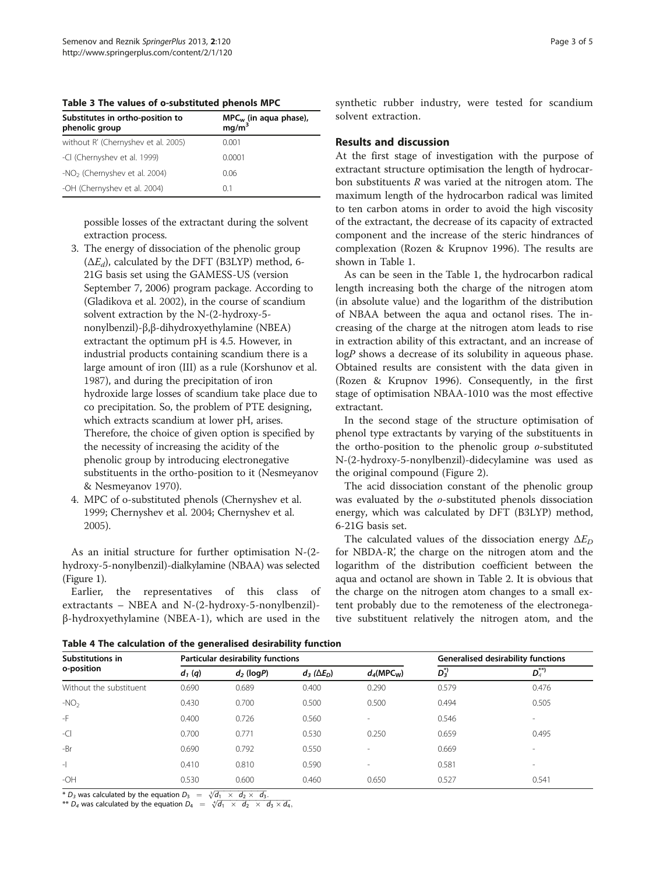<span id="page-2-0"></span>Table 3 The values of o-substituted phenols MPC

| Substitutes in ortho-position to<br>phenolic group | $MPC_w$ (in aqua phase),<br>mg/m <sup>3</sup> |  |  |
|----------------------------------------------------|-----------------------------------------------|--|--|
| without R' (Chernyshev et al. 2005)                | 0.001                                         |  |  |
| -CI (Chernyshev et al. 1999)                       | 0.0001                                        |  |  |
| -NO <sub>2</sub> (Chernyshev et al. 2004)          | 0.06                                          |  |  |
| -OH (Chernyshev et al. 2004)                       | 01                                            |  |  |

possible losses of the extractant during the solvent extraction process.

- 3. The energy of dissociation of the phenolic group  $(\Delta E_d)$ , calculated by the DFT (B3LYP) method, 6-21G basis set using the GAMESS-US (version September 7, 2006) program package. According to (Gladikova et al. [2002](#page-4-0)), in the course of scandium solvent extraction by the N-(2-hydroxy-5 nonylbenzil)-β,β-dihydroxyethylamine (NBEA) extractant the optimum pH is 4.5. However, in industrial products containing scandium there is a large amount of iron (III) as a rule (Korshunov et al. [1987\)](#page-4-0), and during the precipitation of iron hydroxide large losses of scandium take place due to co precipitation. So, the problem of PTE designing, which extracts scandium at lower pH, arises. Therefore, the choice of given option is specified by the necessity of increasing the acidity of the phenolic group by introducing electronegative substituents in the ortho-position to it (Nesmeyanov & Nesmeyanov [1970\)](#page-4-0).
- 4. MPC of o-substituted phenols (Chernyshev et al. [1999;](#page-3-0) Chernyshev et al. [2004;](#page-3-0) Chernyshev et al. [2005\)](#page-4-0).

As an initial structure for further optimisation N-(2 hydroxy-5-nonylbenzil)-dialkylamine (NBAA) was selected (Figure [1\)](#page-1-0).

Earlier, the representatives of this class of extractants – NBEA and N-(2-hydroxy-5-nonylbenzil) β-hydroxyethylamine (NBEA-1), which are used in the synthetic rubber industry, were tested for scandium solvent extraction.

# Results and discussion

At the first stage of investigation with the purpose of extractant structure optimisation the length of hydrocarbon substituents R was varied at the nitrogen atom. The maximum length of the hydrocarbon radical was limited to ten carbon atoms in order to avoid the high viscosity of the extractant, the decrease of its capacity of extracted component and the increase of the steric hindrances of complexation (Rozen & Krupnov [1996](#page-4-0)). The results are shown in Table [1.](#page-1-0)

As can be seen in the Table [1,](#page-1-0) the hydrocarbon radical length increasing both the charge of the nitrogen atom (in absolute value) and the logarithm of the distribution of NBAA between the aqua and octanol rises. The increasing of the charge at the nitrogen atom leads to rise in extraction ability of this extractant, and an increase of logP shows a decrease of its solubility in aqueous phase. Obtained results are consistent with the data given in (Rozen & Krupnov [1996](#page-4-0)). Consequently, in the first stage of optimisation NBAA-1010 was the most effective extractant.

In the second stage of the structure optimisation of phenol type extractants by varying of the substituents in the ortho-position to the phenolic group o-substituted N-(2-hydroxy-5-nonylbenzil)-didecylamine was used as the original compound (Figure [2](#page-1-0)).

The acid dissociation constant of the phenolic group was evaluated by the o-substituted phenols dissociation energy, which was calculated by DFT (B3LYP) method, 6-21G basis set.

The calculated values of the dissociation energy  $\Delta E_D$ for NBDA-R', the charge on the nitrogen atom and the logarithm of the distribution coefficient between the aqua and octanol are shown in Table [2](#page-1-0). It is obvious that the charge on the nitrogen atom changes to a small extent probably due to the remoteness of the electronegative substituent relatively the nitrogen atom, and the

Table 4 The calculation of the generalised desirability function

| Substitutions in         | Particular desirability functions |              |                        | Generalised desirability functions |              |                          |
|--------------------------|-----------------------------------|--------------|------------------------|------------------------------------|--------------|--------------------------|
| o-position               | $d_1(q)$                          | $d_2$ (logP) | $d_3$ ( $\Delta E_D$ ) | $d_A(MPC_W)$                       | $D_3^{\ast}$ | ${\bm D}_4^{**}$         |
| Without the substituent  | 0.690                             | 0.689        | 0.400                  | 0.290                              | 0.579        | 0.476                    |
| $-NO2$                   | 0.430                             | 0.700        | 0.500                  | 0.500                              | 0.494        | 0.505                    |
| -F                       | 0.400                             | 0.726        | 0.560                  | $\sim$                             | 0.546        | $\overline{\phantom{a}}$ |
| $-C$                     | 0.700                             | 0.771        | 0.530                  | 0.250                              | 0.659        | 0.495                    |
| -Br                      | 0.690                             | 0.792        | 0.550                  | $\overline{\phantom{a}}$           | 0.669        | $\overline{\phantom{a}}$ |
| $\overline{\phantom{a}}$ | 0.410                             | 0.810        | 0.590                  | $\overline{\phantom{a}}$           | 0.581        | $\overline{\phantom{a}}$ |
| $-OH$                    | 0.530                             | 0.600        | 0.460                  | 0.650                              | 0.527        | 0.541                    |

\*  $D_3$  was calculated by the equation  $D_3 = \sqrt[3]{d_1 \times d_2 \times d_3}$ .

<sup>\*\*</sup> D<sub>4</sub> was calculated by the equation  $D_4 = \sqrt[4]{d_1 \times d_2 \times d_3 \times d_4}$ ,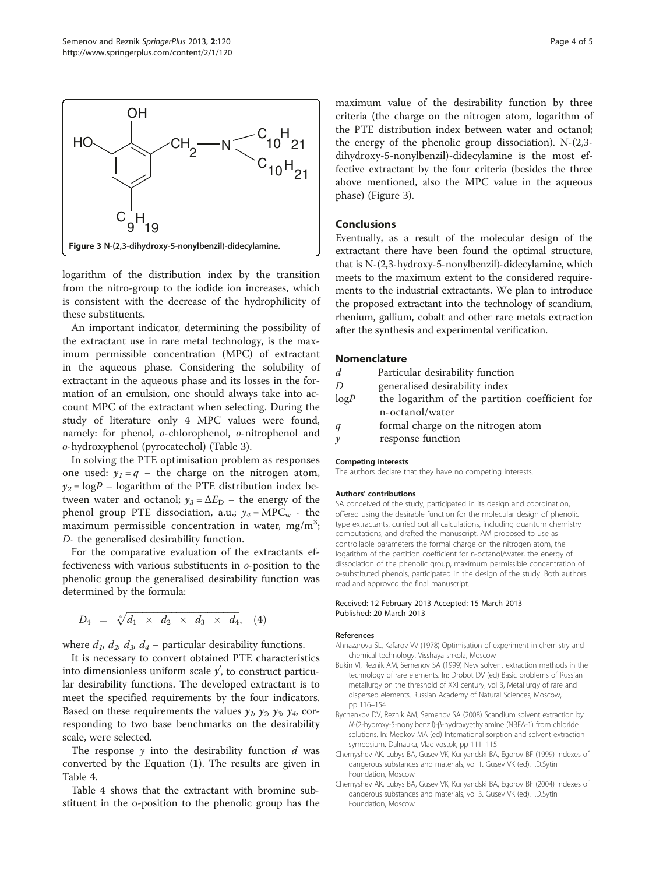

<span id="page-3-0"></span>

logarithm of the distribution index by the transition from the nitro-group to the iodide ion increases, which is consistent with the decrease of the hydrophilicity of these substituents.

An important indicator, determining the possibility of the extractant use in rare metal technology, is the maximum permissible concentration (MPC) of extractant in the aqueous phase. Considering the solubility of extractant in the aqueous phase and its losses in the formation of an emulsion, one should always take into account MPC of the extractant when selecting. During the study of literature only 4 MPC values were found, namely: for phenol, o-chlorophenol, o-nitrophenol and o-hydroxyphenol (pyrocatechol) (Table [3](#page-2-0)).

In solving the PTE optimisation problem as responses one used:  $y_1 = q$  – the charge on the nitrogen atom,  $y_2 = \log P$  – logarithm of the PTE distribution index between water and octanol;  $y_3 = \Delta E_D$  – the energy of the phenol group PTE dissociation, a.u.;  $y_4 = \text{MPC}_w$  - the maximum permissible concentration in water, mg/m<sup>3</sup>; D- the generalised desirability function.

For the comparative evaluation of the extractants effectiveness with various substituents in o-position to the phenolic group the generalised desirability function was determined by the formula:

$$
D_4 = \sqrt[4]{d_1 \times d_2 \times d_3 \times d_4}, \quad (4)
$$

where  $d_1$ ,  $d_2$ ,  $d_3$ ,  $d_4$  – particular desirability functions.

It is necessary to convert obtained PTE characteristics into dimensionless uniform scale  $y'$ , to construct particular desirability functions. The developed extractant is to meet the specified requirements by the four indicators. Based on these requirements the values  $y_1$ ,  $y_2$ ,  $y_3$ ,  $y_4$ , corresponding to two base benchmarks on the desirability scale, were selected.

The response  $y$  into the desirability function  $d$  was converted by the Equation (1). The results are given in Table [4.](#page-2-0)

Table [4](#page-2-0) shows that the extractant with bromine substituent in the o-position to the phenolic group has the maximum value of the desirability function by three criteria (the charge on the nitrogen atom, logarithm of the PTE distribution index between water and octanol; the energy of the phenolic group dissociation). N-(2,3 dihydroxy-5-nonylbenzil)-didecylamine is the most effective extractant by the four criteria (besides the three above mentioned, also the MPC value in the aqueous phase) (Figure 3).

# Conclusions

Eventually, as a result of the molecular design of the extractant there have been found the optimal structure, that is N-(2,3-hydroxy-5-nonylbenzil)-didecylamine, which meets to the maximum extent to the considered requirements to the industrial extractants. We plan to introduce the proposed extractant into the technology of scandium, rhenium, gallium, cobalt and other rare metals extraction after the synthesis and experimental verification.

### Nomenclature

| d    | Particular desirability function               |
|------|------------------------------------------------|
| D    | generalised desirability index                 |
| logP | the logarithm of the partition coefficient for |
|      | n-octanol/water                                |
| q    | formal charge on the nitrogen atom             |
| ν    | response function                              |

#### Competing interests

The authors declare that they have no competing interests.

#### Authors' contributions

SA conceived of the study, participated in its design and coordination, offered using the desirable function for the molecular design of phenolic type extractants, curried out all calculations, including quantum chemistry computations, and drafted the manuscript. AM proposed to use as controllable parameters the formal charge on the nitrogen atom, the logarithm of the partition coefficient for n-octanol/water, the energy of dissociation of the phenolic group, maximum permissible concentration of o-substituted phenols, participated in the design of the study. Both authors read and approved the final manuscript.

#### Received: 12 February 2013 Accepted: 15 March 2013 Published: 20 March 2013

#### References

Ahnazarova SL, Kafarov VV (1978) Optimisation of experiment in chemistry and chemical technology. Visshaya shkola, Moscow

- Bukin VI, Reznik AM, Semenov SA (1999) New solvent extraction methods in the technology of rare elements. In: Drobot DV (ed) Basic problems of Russian metallurgy on the threshold of XXI century, vol 3, Metallurgy of rare and dispersed elements. Russian Academy of Natural Sciences, Moscow, pp 116–154
- Bychenkov DV, Reznik AM, Semenov SA (2008) Scandium solvent extraction by N-(2-hydroxy-5-nonylbenzil)-β-hydroxyethylamine (NBEA-1) from chloride solutions. In: Medkov MA (ed) International sorption and solvent extraction symposium. Dalnauka, Vladivostok, pp 111–115
- Chernyshev AK, Lubys BA, Gusev VK, Kurlyandski BA, Egorov BF (1999) Indexes of dangerous substances and materials, vol 1. Gusev VK (ed). I.D.Sytin Foundation, Moscow
- Chernyshev AK, Lubys BA, Gusev VK, Kurlyandski BA, Egorov BF (2004) Indexes of dangerous substances and materials, vol 3. Gusev VK (ed). I.D.Sytin Foundation, Moscow